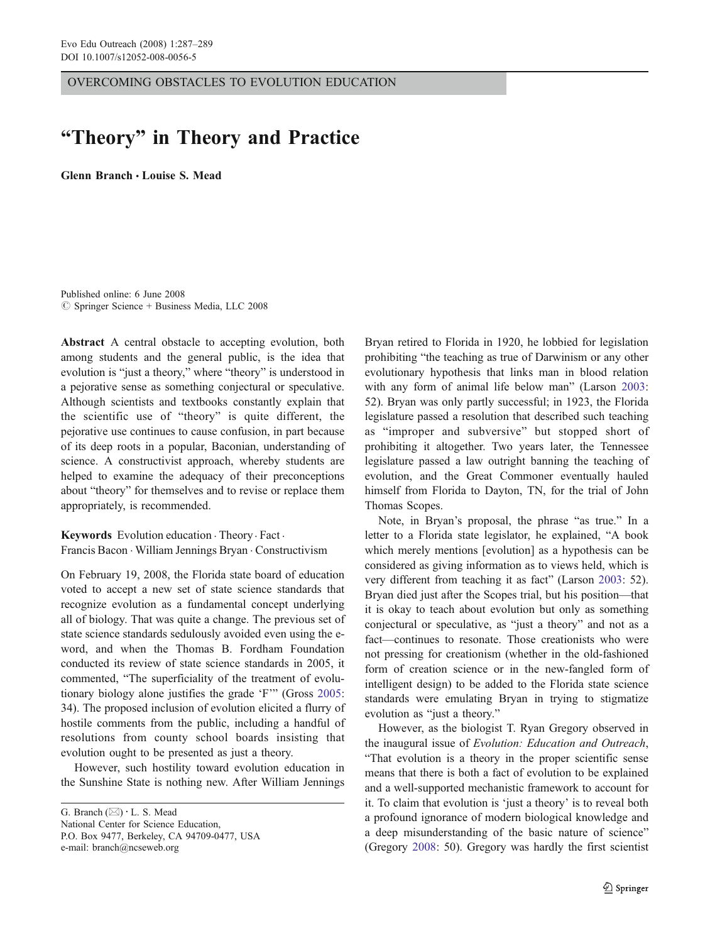OVERCOMING OBSTACLES TO EVOLUTION EDUCATION

## "Theory" in Theory and Practice

Glenn Branch *&* Louise S. Mead

Published online: 6 June 2008  $\oslash$  Springer Science + Business Media, LLC 2008

Abstract A central obstacle to accepting evolution, both among students and the general public, is the idea that evolution is "just a theory," where "theory" is understood in a pejorative sense as something conjectural or speculative. Although scientists and textbooks constantly explain that the scientific use of "theory" is quite different, the pejorative use continues to cause confusion, in part because of its deep roots in a popular, Baconian, understanding of science. A constructivist approach, whereby students are helped to examine the adequacy of their preconceptions about "theory" for themselves and to revise or replace them appropriately, is recommended.

Keywords Evolution education . Theory . Fact . Francis Bacon . William Jennings Bryan . Constructivism

On February 19, 2008, the Florida state board of education voted to accept a new set of state science standards that recognize evolution as a fundamental concept underlying all of biology. That was quite a change. The previous set of state science standards sedulously avoided even using the eword, and when the Thomas B. Fordham Foundation conducted its review of state science standards in 2005, it commented, "The superficiality of the treatment of evolutionary biology alone justifies the grade 'F'" (Gross [2005](#page-2-0): 34). The proposed inclusion of evolution elicited a flurry of hostile comments from the public, including a handful of resolutions from county school boards insisting that evolution ought to be presented as just a theory.

However, such hostility toward evolution education in the Sunshine State is nothing new. After William Jennings

National Center for Science Education,

Bryan retired to Florida in 1920, he lobbied for legislation prohibiting "the teaching as true of Darwinism or any other evolutionary hypothesis that links man in blood relation with any form of animal life below man" (Larson [2003:](#page-2-0) 52). Bryan was only partly successful; in 1923, the Florida legislature passed a resolution that described such teaching as "improper and subversive" but stopped short of prohibiting it altogether. Two years later, the Tennessee legislature passed a law outright banning the teaching of evolution, and the Great Commoner eventually hauled himself from Florida to Dayton, TN, for the trial of John Thomas Scopes.

Note, in Bryan's proposal, the phrase "as true." In a letter to a Florida state legislator, he explained, "A book which merely mentions [evolution] as a hypothesis can be considered as giving information as to views held, which is very different from teaching it as fact" (Larson [2003](#page-2-0): 52). Bryan died just after the Scopes trial, but his position—that it is okay to teach about evolution but only as something conjectural or speculative, as "just a theory" and not as a fact—continues to resonate. Those creationists who were not pressing for creationism (whether in the old-fashioned form of creation science or in the new-fangled form of intelligent design) to be added to the Florida state science standards were emulating Bryan in trying to stigmatize evolution as "just a theory."

However, as the biologist T. Ryan Gregory observed in the inaugural issue of Evolution: Education and Outreach, "That evolution is a theory in the proper scientific sense means that there is both a fact of evolution to be explained and a well-supported mechanistic framework to account for it. To claim that evolution is 'just a theory' is to reveal both a profound ignorance of modern biological knowledge and a deep misunderstanding of the basic nature of science" (Gregory [2008](#page-2-0): 50). Gregory was hardly the first scientist

G. Branch (*\**) *:* L. S. Mead

P.O. Box 9477, Berkeley, CA 94709-0477, USA e-mail: branch@ncseweb.org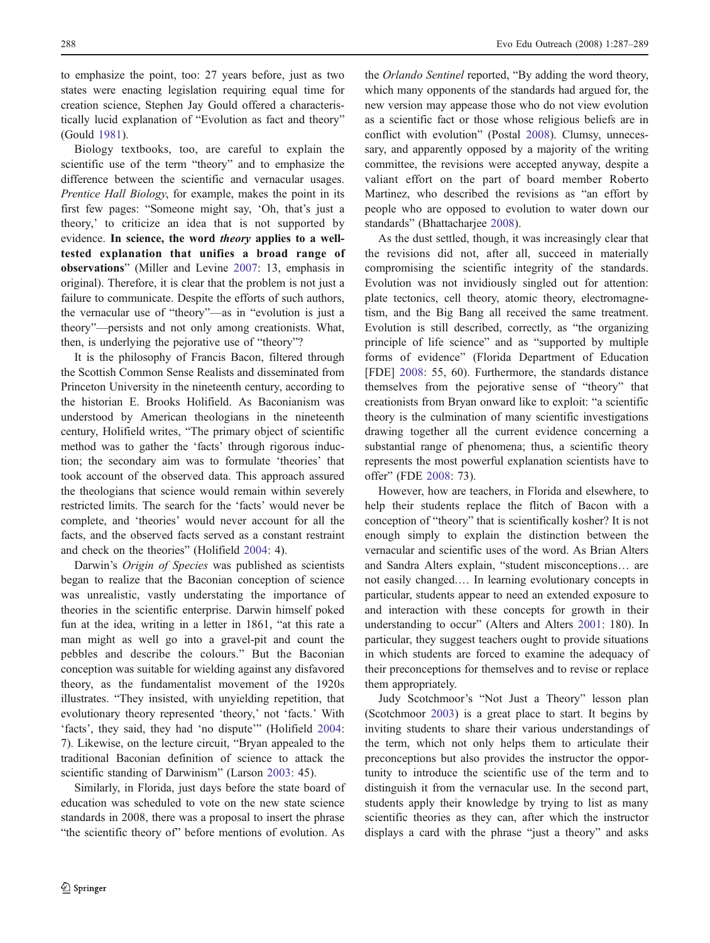to emphasize the point, too: 27 years before, just as two states were enacting legislation requiring equal time for creation science, Stephen Jay Gould offered a characteristically lucid explanation of "Evolution as fact and theory" (Gould [1981](#page-2-0)).

Biology textbooks, too, are careful to explain the scientific use of the term "theory" and to emphasize the difference between the scientific and vernacular usages. Prentice Hall Biology, for example, makes the point in its first few pages: "Someone might say, 'Oh, that's just a theory,' to criticize an idea that is not supported by evidence. In science, the word theory applies to a welltested explanation that unifies a broad range of observations" (Miller and Levine [2007](#page-2-0): 13, emphasis in original). Therefore, it is clear that the problem is not just a failure to communicate. Despite the efforts of such authors, the vernacular use of "theory"—as in "evolution is just a theory"—persists and not only among creationists. What, then, is underlying the pejorative use of "theory"?

It is the philosophy of Francis Bacon, filtered through the Scottish Common Sense Realists and disseminated from Princeton University in the nineteenth century, according to the historian E. Brooks Holifield. As Baconianism was understood by American theologians in the nineteenth century, Holifield writes, "The primary object of scientific method was to gather the 'facts' through rigorous induction; the secondary aim was to formulate 'theories' that took account of the observed data. This approach assured the theologians that science would remain within severely restricted limits. The search for the 'facts' would never be complete, and 'theories' would never account for all the facts, and the observed facts served as a constant restraint and check on the theories" (Holifield [2004:](#page-2-0) 4).

Darwin's *Origin of Species* was published as scientists began to realize that the Baconian conception of science was unrealistic, vastly understating the importance of theories in the scientific enterprise. Darwin himself poked fun at the idea, writing in a letter in 1861, "at this rate a man might as well go into a gravel-pit and count the pebbles and describe the colours." But the Baconian conception was suitable for wielding against any disfavored theory, as the fundamentalist movement of the 1920s illustrates. "They insisted, with unyielding repetition, that evolutionary theory represented 'theory,' not 'facts.' With 'facts', they said, they had 'no dispute'" (Holifield [2004](#page-2-0): 7). Likewise, on the lecture circuit, "Bryan appealed to the traditional Baconian definition of science to attack the scientific standing of Darwinism" (Larson [2003](#page-2-0): 45).

Similarly, in Florida, just days before the state board of education was scheduled to vote on the new state science standards in 2008, there was a proposal to insert the phrase "the scientific theory of" before mentions of evolution. As

the Orlando Sentinel reported, "By adding the word theory, which many opponents of the standards had argued for, the new version may appease those who do not view evolution as a scientific fact or those whose religious beliefs are in conflict with evolution" (Postal [2008](#page-2-0)). Clumsy, unnecessary, and apparently opposed by a majority of the writing committee, the revisions were accepted anyway, despite a valiant effort on the part of board member Roberto Martinez, who described the revisions as "an effort by people who are opposed to evolution to water down our standards" (Bhattacharjee [2008\)](#page-2-0).

As the dust settled, though, it was increasingly clear that the revisions did not, after all, succeed in materially compromising the scientific integrity of the standards. Evolution was not invidiously singled out for attention: plate tectonics, cell theory, atomic theory, electromagnetism, and the Big Bang all received the same treatment. Evolution is still described, correctly, as "the organizing principle of life science" and as "supported by multiple forms of evidence" (Florida Department of Education [FDE] [2008](#page-2-0): 55, 60). Furthermore, the standards distance themselves from the pejorative sense of "theory" that creationists from Bryan onward like to exploit: "a scientific theory is the culmination of many scientific investigations drawing together all the current evidence concerning a substantial range of phenomena; thus, a scientific theory represents the most powerful explanation scientists have to offer" (FDE [2008:](#page-2-0) 73).

However, how are teachers, in Florida and elsewhere, to help their students replace the flitch of Bacon with a conception of "theory" that is scientifically kosher? It is not enough simply to explain the distinction between the vernacular and scientific uses of the word. As Brian Alters and Sandra Alters explain, "student misconceptions… are not easily changed.… In learning evolutionary concepts in particular, students appear to need an extended exposure to and interaction with these concepts for growth in their understanding to occur" (Alters and Alters [2001:](#page-2-0) 180). In particular, they suggest teachers ought to provide situations in which students are forced to examine the adequacy of their preconceptions for themselves and to revise or replace them appropriately.

Judy Scotchmoor's "Not Just a Theory" lesson plan (Scotchmoor [2003\)](#page-2-0) is a great place to start. It begins by inviting students to share their various understandings of the term, which not only helps them to articulate their preconceptions but also provides the instructor the opportunity to introduce the scientific use of the term and to distinguish it from the vernacular use. In the second part, students apply their knowledge by trying to list as many scientific theories as they can, after which the instructor displays a card with the phrase "just a theory" and asks